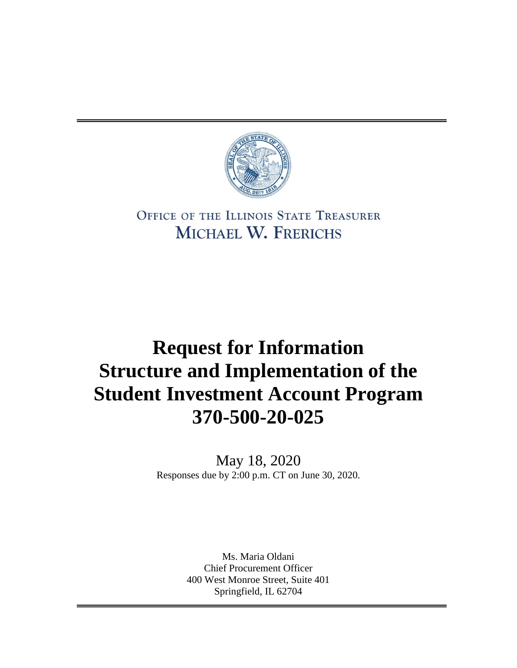

## OFFICE OF THE ILLINOIS STATE TREASURER MICHAEL W. FRERICHS

# **Request for Information Structure and Implementation of the Student Investment Account Program 370-500-20-025**

May 18, 2020 Responses due by 2:00 p.m. CT on June 30, 2020.

> Ms. Maria Oldani Chief Procurement Officer 400 West Monroe Street, Suite 401 Springfield, IL 62704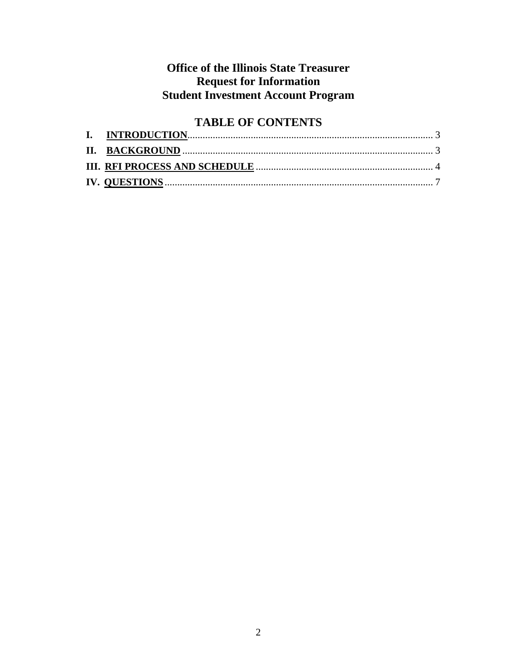### **Office of the Illinois State Treasurer Request for Information Student Investment Account Program**

## **TABLE OF CONTENTS**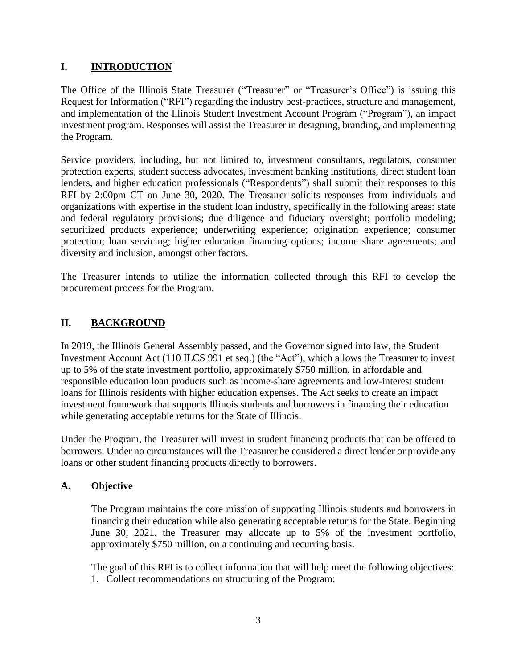#### **I. INTRODUCTION**

The Office of the Illinois State Treasurer ("Treasurer" or "Treasurer's Office") is issuing this Request for Information ("RFI") regarding the industry best-practices, structure and management, and implementation of the Illinois Student Investment Account Program ("Program"), an impact investment program. Responses will assist the Treasurer in designing, branding, and implementing the Program.

Service providers, including, but not limited to, investment consultants, regulators, consumer protection experts, student success advocates, investment banking institutions, direct student loan lenders, and higher education professionals ("Respondents") shall submit their responses to this RFI by 2:00pm CT on June 30, 2020. The Treasurer solicits responses from individuals and organizations with expertise in the student loan industry, specifically in the following areas: state and federal regulatory provisions; due diligence and fiduciary oversight; portfolio modeling; securitized products experience; underwriting experience; origination experience; consumer protection; loan servicing; higher education financing options; income share agreements; and diversity and inclusion, amongst other factors.

The Treasurer intends to utilize the information collected through this RFI to develop the procurement process for the Program.

#### **II. BACKGROUND**

In 2019, the Illinois General Assembly passed, and the Governor signed into law, the Student Investment Account Act (110 ILCS 991 et seq.) (the "Act"), which allows the Treasurer to invest up to 5% of the state investment portfolio, approximately \$750 million, in affordable and responsible education loan products such as income-share agreements and low-interest student loans for Illinois residents with higher education expenses. The Act seeks to create an impact investment framework that supports Illinois students and borrowers in financing their education while generating acceptable returns for the State of Illinois.

Under the Program, the Treasurer will invest in student financing products that can be offered to borrowers. Under no circumstances will the Treasurer be considered a direct lender or provide any loans or other student financing products directly to borrowers.

#### **A. Objective**

The Program maintains the core mission of supporting Illinois students and borrowers in financing their education while also generating acceptable returns for the State. Beginning June 30, 2021, the Treasurer may allocate up to 5% of the investment portfolio, approximately \$750 million, on a continuing and recurring basis.

The goal of this RFI is to collect information that will help meet the following objectives: 1. Collect recommendations on structuring of the Program;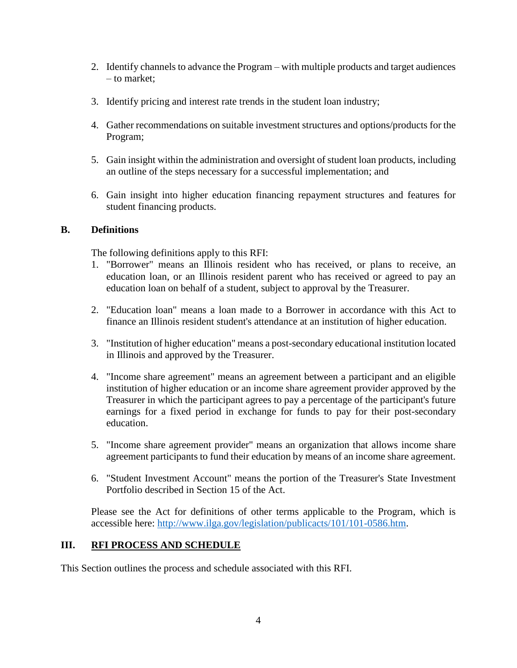- 2. Identify channels to advance the Program with multiple products and target audiences – to market;
- 3. Identify pricing and interest rate trends in the student loan industry;
- 4. Gather recommendations on suitable investment structures and options/products for the Program;
- 5. Gain insight within the administration and oversight of student loan products, including an outline of the steps necessary for a successful implementation; and
- 6. Gain insight into higher education financing repayment structures and features for student financing products.

#### **B. Definitions**

The following definitions apply to this RFI:

- 1. "Borrower" means an Illinois resident who has received, or plans to receive, an education loan, or an Illinois resident parent who has received or agreed to pay an education loan on behalf of a student, subject to approval by the Treasurer.
- 2. "Education loan" means a loan made to a Borrower in accordance with this Act to finance an Illinois resident student's attendance at an institution of higher education.
- 3. "Institution of higher education" means a post-secondary educational institution located in Illinois and approved by the Treasurer.
- 4. "Income share agreement" means an agreement between a participant and an eligible institution of higher education or an income share agreement provider approved by the Treasurer in which the participant agrees to pay a percentage of the participant's future earnings for a fixed period in exchange for funds to pay for their post-secondary education.
- 5. "Income share agreement provider" means an organization that allows income share agreement participants to fund their education by means of an income share agreement.
- 6. "Student Investment Account" means the portion of the Treasurer's State Investment Portfolio described in Section 15 of the Act.

Please see the Act for definitions of other terms applicable to the Program, which is accessible here: [http://www.ilga.gov/legislation/publicacts/101/101-0586.htm.](http://www.ilga.gov/legislation/publicacts/101/101-0586.htm)

#### **III. RFI PROCESS AND SCHEDULE**

This Section outlines the process and schedule associated with this RFI.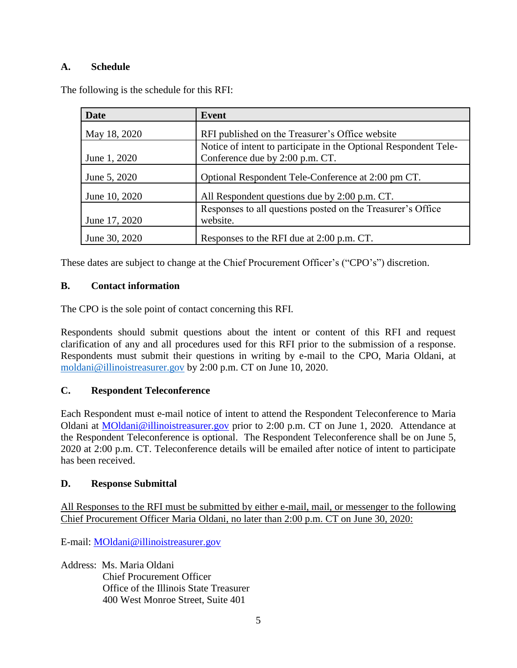#### **A. Schedule**

The following is the schedule for this RFI:

| <b>Date</b>   | Event                                                            |
|---------------|------------------------------------------------------------------|
| May 18, 2020  | RFI published on the Treasurer's Office website                  |
|               | Notice of intent to participate in the Optional Respondent Tele- |
| June 1, 2020  | Conference due by 2:00 p.m. CT.                                  |
| June 5, 2020  | Optional Respondent Tele-Conference at 2:00 pm CT.               |
| June 10, 2020 | All Respondent questions due by 2:00 p.m. CT.                    |
|               | Responses to all questions posted on the Treasurer's Office      |
| June 17, 2020 | website.                                                         |
| June 30, 2020 | Responses to the RFI due at 2:00 p.m. CT.                        |

These dates are subject to change at the Chief Procurement Officer's ("CPO's") discretion.

#### **B. Contact information**

The CPO is the sole point of contact concerning this RFI.

Respondents should submit questions about the intent or content of this RFI and request clarification of any and all procedures used for this RFI prior to the submission of a response. Respondents must submit their questions in writing by e-mail to the CPO, Maria Oldani, at [moldani@illinoistreasurer.gov](mailto:moldani@illinoistreasurer.gov) by 2:00 p.m. CT on June 10, 2020.

#### **C. Respondent Teleconference**

Each Respondent must e-mail notice of intent to attend the Respondent Teleconference to Maria Oldani at [MOldani@illinoistreasurer.gov](mailto:junderwood@illinoistreasurer.gov) prior to 2:00 p.m. CT on June 1, 2020. Attendance at the Respondent Teleconference is optional. The Respondent Teleconference shall be on June 5, 2020 at 2:00 p.m. CT. Teleconference details will be emailed after notice of intent to participate has been received.

#### **D. Response Submittal**

All Responses to the RFI must be submitted by either e-mail, mail, or messenger to the following Chief Procurement Officer Maria Oldani, no later than 2:00 p.m. CT on June 30, 2020:

E-mail: [MOldani@illinoistreasurer.gov](mailto:junderwood@illinoistreasurer.gov)

Address: Ms. Maria Oldani

Chief Procurement Officer Office of the Illinois State Treasurer 400 West Monroe Street, Suite 401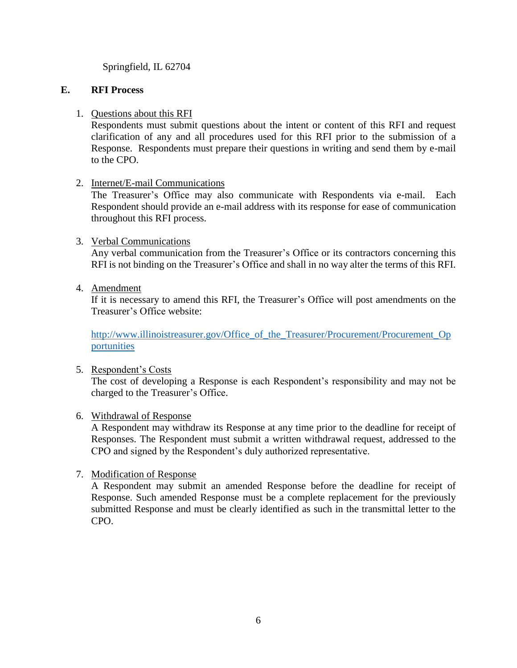Springfield, IL 62704

#### **E. RFI Process**

#### 1. Questions about this RFI

Respondents must submit questions about the intent or content of this RFI and request clarification of any and all procedures used for this RFI prior to the submission of a Response. Respondents must prepare their questions in writing and send them by e-mail to the CPO.

#### 2. Internet/E-mail Communications

The Treasurer's Office may also communicate with Respondents via e-mail. Each Respondent should provide an e-mail address with its response for ease of communication throughout this RFI process.

#### 3. Verbal Communications

Any verbal communication from the Treasurer's Office or its contractors concerning this RFI is not binding on the Treasurer's Office and shall in no way alter the terms of this RFI.

4. Amendment

If it is necessary to amend this RFI, the Treasurer's Office will post amendments on the Treasurer's Office website:

http://www.illinoistreasurer.gov/Office of the Treasurer/Procurement/Procurement Op [portunities](http://www.illinoistreasurer.gov/Office_of_the_Treasurer/Procurement/Procurement_Opportunities)

#### 5. Respondent's Costs

The cost of developing a Response is each Respondent's responsibility and may not be charged to the Treasurer's Office.

#### 6. Withdrawal of Response

A Respondent may withdraw its Response at any time prior to the deadline for receipt of Responses. The Respondent must submit a written withdrawal request, addressed to the CPO and signed by the Respondent's duly authorized representative.

#### 7. Modification of Response

A Respondent may submit an amended Response before the deadline for receipt of Response. Such amended Response must be a complete replacement for the previously submitted Response and must be clearly identified as such in the transmittal letter to the CPO.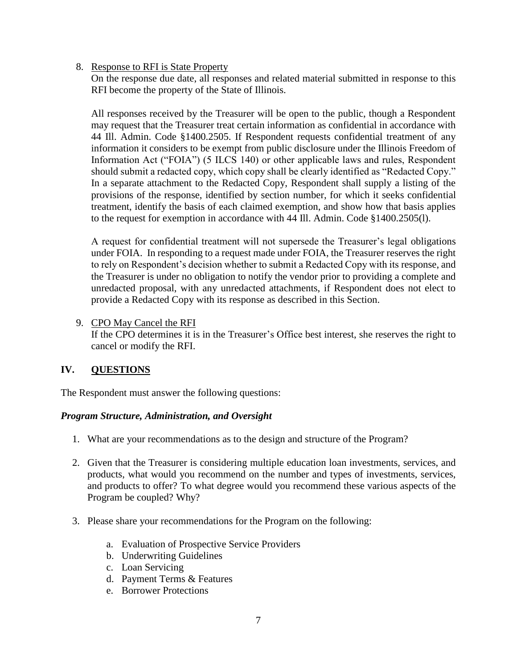#### 8. Response to RFI is State Property

On the response due date, all responses and related material submitted in response to this RFI become the property of the State of Illinois.

All responses received by the Treasurer will be open to the public, though a Respondent may request that the Treasurer treat certain information as confidential in accordance with 44 Ill. Admin. Code §1400.2505. If Respondent requests confidential treatment of any information it considers to be exempt from public disclosure under the Illinois Freedom of Information Act ("FOIA") (5 ILCS 140) or other applicable laws and rules, Respondent should submit a redacted copy, which copy shall be clearly identified as "Redacted Copy." In a separate attachment to the Redacted Copy, Respondent shall supply a listing of the provisions of the response, identified by section number, for which it seeks confidential treatment, identify the basis of each claimed exemption, and show how that basis applies to the request for exemption in accordance with 44 Ill. Admin. Code §1400.2505(l).

A request for confidential treatment will not supersede the Treasurer's legal obligations under FOIA. In responding to a request made under FOIA, the Treasurer reserves the right to rely on Respondent's decision whether to submit a Redacted Copy with its response, and the Treasurer is under no obligation to notify the vendor prior to providing a complete and unredacted proposal, with any unredacted attachments, if Respondent does not elect to provide a Redacted Copy with its response as described in this Section.

9. CPO May Cancel the RFI

If the CPO determines it is in the Treasurer's Office best interest, she reserves the right to cancel or modify the RFI.

#### **IV. QUESTIONS**

The Respondent must answer the following questions:

#### *Program Structure, Administration, and Oversight*

- 1. What are your recommendations as to the design and structure of the Program?
- 2. Given that the Treasurer is considering multiple education loan investments, services, and products, what would you recommend on the number and types of investments, services, and products to offer? To what degree would you recommend these various aspects of the Program be coupled? Why?
- 3. Please share your recommendations for the Program on the following:
	- a. Evaluation of Prospective Service Providers
	- b. Underwriting Guidelines
	- c. Loan Servicing
	- d. Payment Terms & Features
	- e. Borrower Protections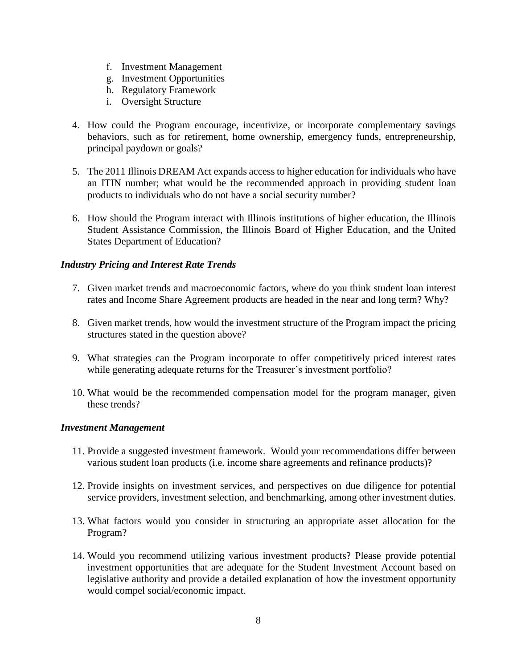- f. Investment Management
- g. Investment Opportunities
- h. Regulatory Framework
- i. Oversight Structure
- 4. How could the Program encourage, incentivize, or incorporate complementary savings behaviors, such as for retirement, home ownership, emergency funds, entrepreneurship, principal paydown or goals?
- 5. The 2011 Illinois DREAM Act expands access to higher education for individuals who have an ITIN number; what would be the recommended approach in providing student loan products to individuals who do not have a social security number?
- 6. How should the Program interact with Illinois institutions of higher education, the Illinois Student Assistance Commission, the Illinois Board of Higher Education, and the United States Department of Education?

#### *Industry Pricing and Interest Rate Trends*

- 7. Given market trends and macroeconomic factors, where do you think student loan interest rates and Income Share Agreement products are headed in the near and long term? Why?
- 8. Given market trends, how would the investment structure of the Program impact the pricing structures stated in the question above?
- 9. What strategies can the Program incorporate to offer competitively priced interest rates while generating adequate returns for the Treasurer's investment portfolio?
- 10. What would be the recommended compensation model for the program manager, given these trends?

#### *Investment Management*

- 11. Provide a suggested investment framework. Would your recommendations differ between various student loan products (i.e. income share agreements and refinance products)?
- 12. Provide insights on investment services, and perspectives on due diligence for potential service providers, investment selection, and benchmarking, among other investment duties.
- 13. What factors would you consider in structuring an appropriate asset allocation for the Program?
- 14. Would you recommend utilizing various investment products? Please provide potential investment opportunities that are adequate for the Student Investment Account based on legislative authority and provide a detailed explanation of how the investment opportunity would compel social/economic impact.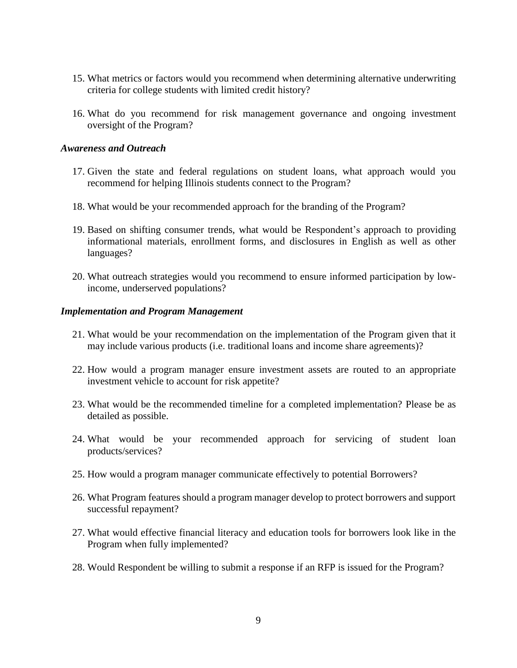- 15. What metrics or factors would you recommend when determining alternative underwriting criteria for college students with limited credit history?
- 16. What do you recommend for risk management governance and ongoing investment oversight of the Program?

#### *Awareness and Outreach*

- 17. Given the state and federal regulations on student loans, what approach would you recommend for helping Illinois students connect to the Program?
- 18. What would be your recommended approach for the branding of the Program?
- 19. Based on shifting consumer trends, what would be Respondent's approach to providing informational materials, enrollment forms, and disclosures in English as well as other languages?
- 20. What outreach strategies would you recommend to ensure informed participation by lowincome, underserved populations?

#### *Implementation and Program Management*

- 21. What would be your recommendation on the implementation of the Program given that it may include various products (i.e. traditional loans and income share agreements)?
- 22. How would a program manager ensure investment assets are routed to an appropriate investment vehicle to account for risk appetite?
- 23. What would be the recommended timeline for a completed implementation? Please be as detailed as possible.
- 24. What would be your recommended approach for servicing of student loan products/services?
- 25. How would a program manager communicate effectively to potential Borrowers?
- 26. What Program features should a program manager develop to protect borrowers and support successful repayment?
- 27. What would effective financial literacy and education tools for borrowers look like in the Program when fully implemented?
- 28. Would Respondent be willing to submit a response if an RFP is issued for the Program?